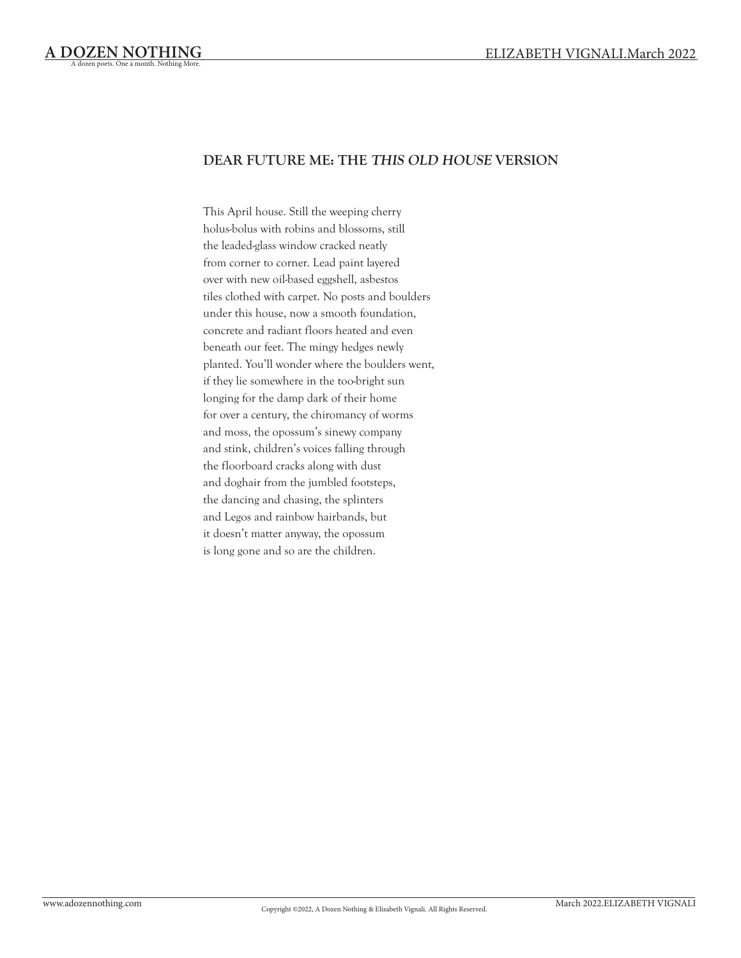# **DEAR FUTURE ME: THE THIS OLD HOUSE VERSION**

This April house. Still the weeping cherry holus-bolus with robins and blossoms, still the leaded-glass window cracked neatly from corner to corner. Lead paint layered over with new oil-based eggshell, asbestos tiles clothed with carpet. No posts and boulders under this house, now a smooth foundation, concrete and radiant floors heated and even beneath our feet. The mingy hedges newly planted. You'll wonder where the boulders went, if they lie somewhere in the too-bright sun longing for the damp dark of their home for over a century, the chiromancy of worms and moss, the opossum's sinewy company and stink, children's voices falling through the floorboard cracks along with dust and doghair from the jumbled footsteps, the dancing and chasing, the splinters and Legos and rainbow hairbands, but it doesn't matter anyway, the opossum is long gone and so are the children.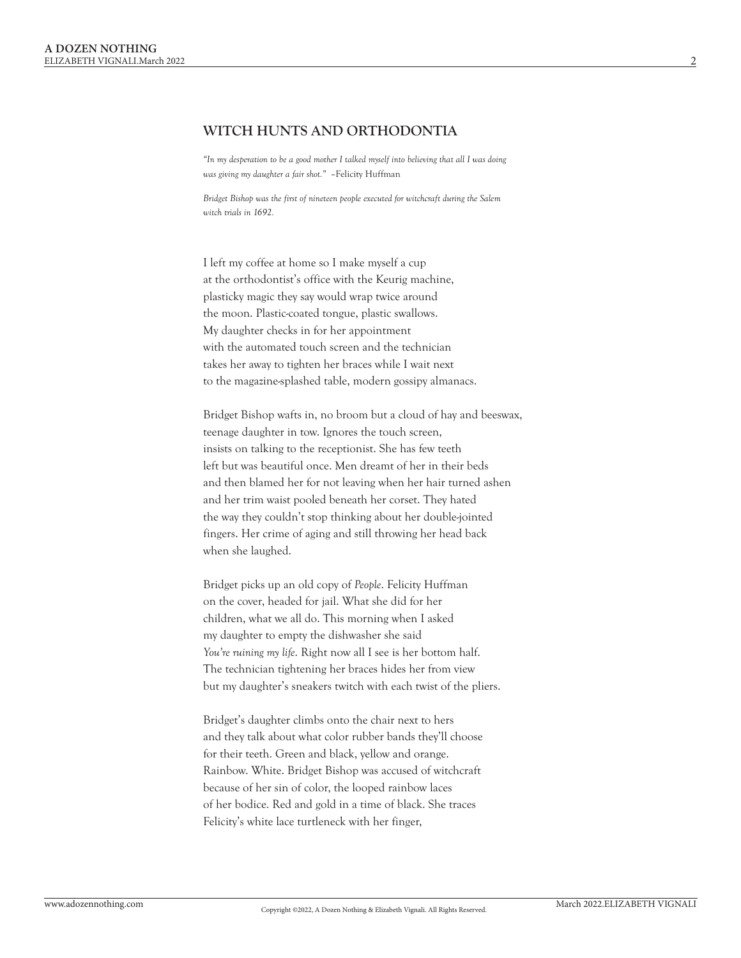#### **WITCH HUNTS AND ORTHODONTIA**

*"In my desperation to be a good mother I talked myself into believing that all I was doing was giving my daughter a fair shot."* –Felicity Huffman

*Bridget Bishop was the first of nineteen people executed for witchcraft during the Salem witch trials in 1692.*

I left my coffee at home so I make myself a cup at the orthodontist's office with the Keurig machine, plasticky magic they say would wrap twice around the moon. Plastic-coated tongue, plastic swallows. My daughter checks in for her appointment with the automated touch screen and the technician takes her away to tighten her braces while I wait next to the magazine-splashed table, modern gossipy almanacs.

Bridget Bishop wafts in, no broom but a cloud of hay and beeswax, teenage daughter in tow. Ignores the touch screen, insists on talking to the receptionist. She has few teeth left but was beautiful once. Men dreamt of her in their beds and then blamed her for not leaving when her hair turned ashen and her trim waist pooled beneath her corset. They hated the way they couldn't stop thinking about her double-jointed fingers. Her crime of aging and still throwing her head back when she laughed.

Bridget picks up an old copy of *People*. Felicity Huffman on the cover, headed for jail. What she did for her children, what we all do. This morning when I asked my daughter to empty the dishwasher she said *You're ruining my life*. Right now all I see is her bottom half. The technician tightening her braces hides her from view but my daughter's sneakers twitch with each twist of the pliers.

Bridget's daughter climbs onto the chair next to hers and they talk about what color rubber bands they'll choose for their teeth. Green and black, yellow and orange. Rainbow. White. Bridget Bishop was accused of witchcraft because of her sin of color, the looped rainbow laces of her bodice. Red and gold in a time of black. She traces Felicity's white lace turtleneck with her finger,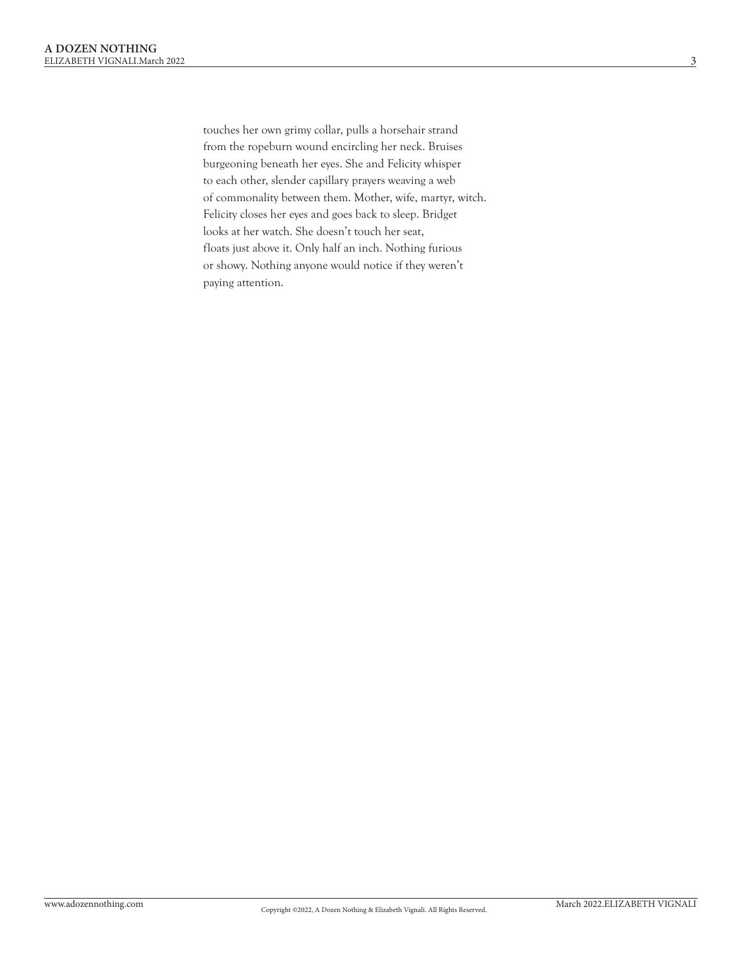touches her own grimy collar, pulls a horsehair strand from the ropeburn wound encircling her neck. Bruises burgeoning beneath her eyes. She and Felicity whisper to each other, slender capillary prayers weaving a web of commonality between them. Mother, wife, martyr, witch. Felicity closes her eyes and goes back to sleep. Bridget looks at her watch. She doesn't touch her seat, floats just above it. Only half an inch. Nothing furious or showy. Nothing anyone would notice if they weren't paying attention.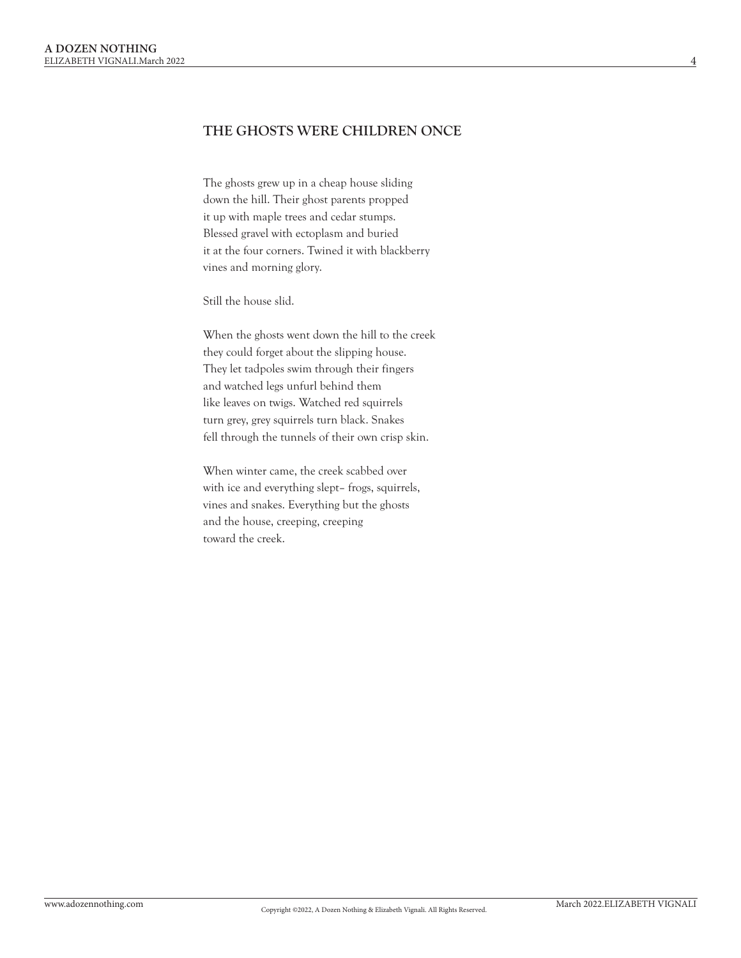# **THE GHOSTS WERE CHILDREN ONCE**

The ghosts grew up in a cheap house sliding down the hill. Their ghost parents propped it up with maple trees and cedar stumps. Blessed gravel with ectoplasm and buried it at the four corners. Twined it with blackberry vines and morning glory.

Still the house slid.

When the ghosts went down the hill to the creek they could forget about the slipping house. They let tadpoles swim through their fingers and watched legs unfurl behind them like leaves on twigs. Watched red squirrels turn grey, grey squirrels turn black. Snakes fell through the tunnels of their own crisp skin.

When winter came, the creek scabbed over with ice and everything slept– frogs, squirrels, vines and snakes. Everything but the ghosts and the house, creeping, creeping toward the creek.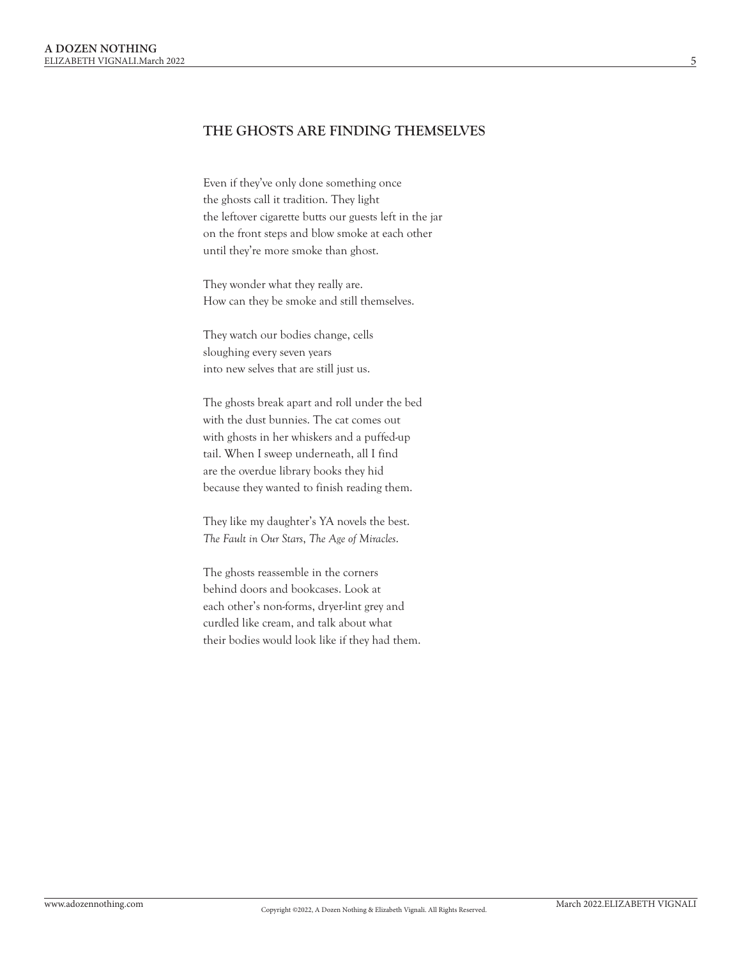### **THE GHOSTS ARE FINDING THEMSELVES**

Even if they've only done something once the ghosts call it tradition. They light the leftover cigarette butts our guests left in the jar on the front steps and blow smoke at each other until they're more smoke than ghost.

They wonder what they really are. How can they be smoke and still themselves.

They watch our bodies change, cells sloughing every seven years into new selves that are still just us.

The ghosts break apart and roll under the bed with the dust bunnies. The cat comes out with ghosts in her whiskers and a puffed-up tail. When I sweep underneath, all I find are the overdue library books they hid because they wanted to finish reading them.

They like my daughter's YA novels the best. *The Fault in Our Stars*, *The Age of Miracles*.

The ghosts reassemble in the corners behind doors and bookcases. Look at each other's non-forms, dryer-lint grey and curdled like cream, and talk about what their bodies would look like if they had them.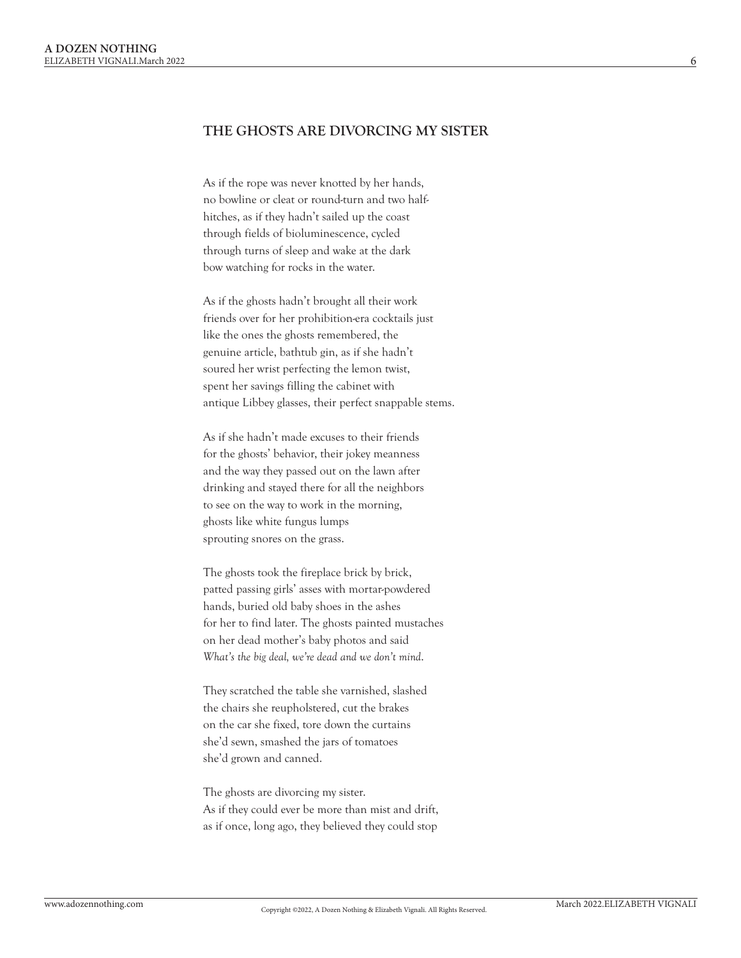### **THE GHOSTS ARE DIVORCING MY SISTER**

As if the rope was never knotted by her hands, no bowline or cleat or round-turn and two halfhitches, as if they hadn't sailed up the coast through fields of bioluminescence, cycled through turns of sleep and wake at the dark bow watching for rocks in the water.

As if the ghosts hadn't brought all their work friends over for her prohibition-era cocktails just like the ones the ghosts remembered, the genuine article, bathtub gin, as if she hadn't soured her wrist perfecting the lemon twist, spent her savings filling the cabinet with antique Libbey glasses, their perfect snappable stems.

As if she hadn't made excuses to their friends for the ghosts' behavior, their jokey meanness and the way they passed out on the lawn after drinking and stayed there for all the neighbors to see on the way to work in the morning, ghosts like white fungus lumps sprouting snores on the grass.

The ghosts took the fireplace brick by brick, patted passing girls' asses with mortar-powdered hands, buried old baby shoes in the ashes for her to find later. The ghosts painted mustaches on her dead mother's baby photos and said *What's the big deal, we're dead and we don't mind*.

They scratched the table she varnished, slashed the chairs she reupholstered, cut the brakes on the car she fixed, tore down the curtains she'd sewn, smashed the jars of tomatoes she'd grown and canned.

The ghosts are divorcing my sister. As if they could ever be more than mist and drift, as if once, long ago, they believed they could stop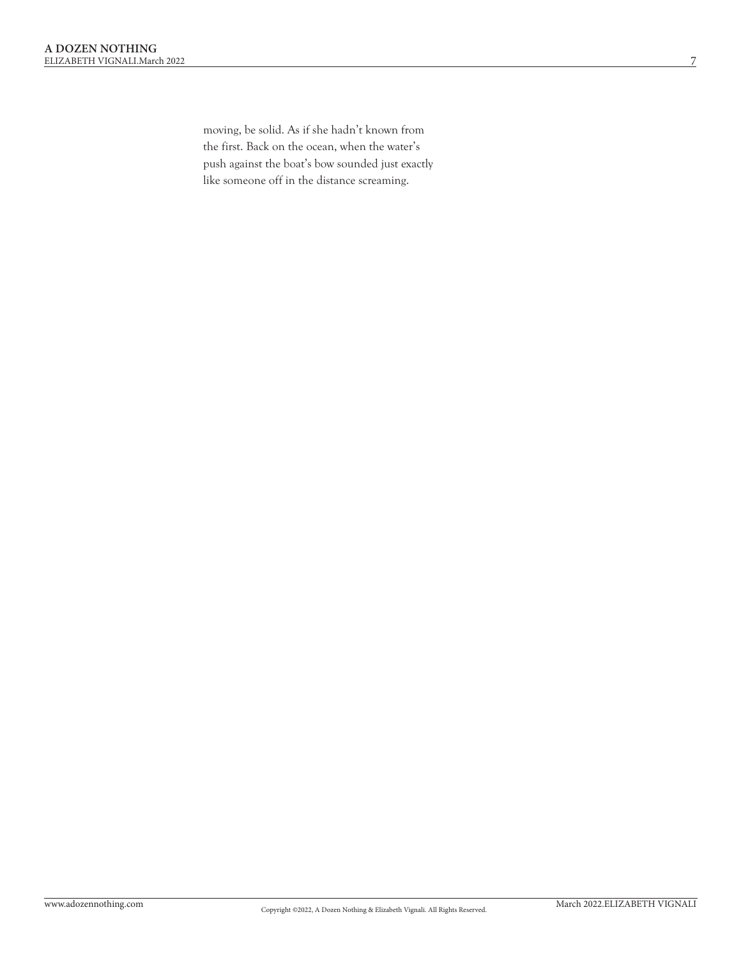moving, be solid. As if she hadn't known from the first. Back on the ocean, when the water's push against the boat's bow sounded just exactly like someone off in the distance screaming.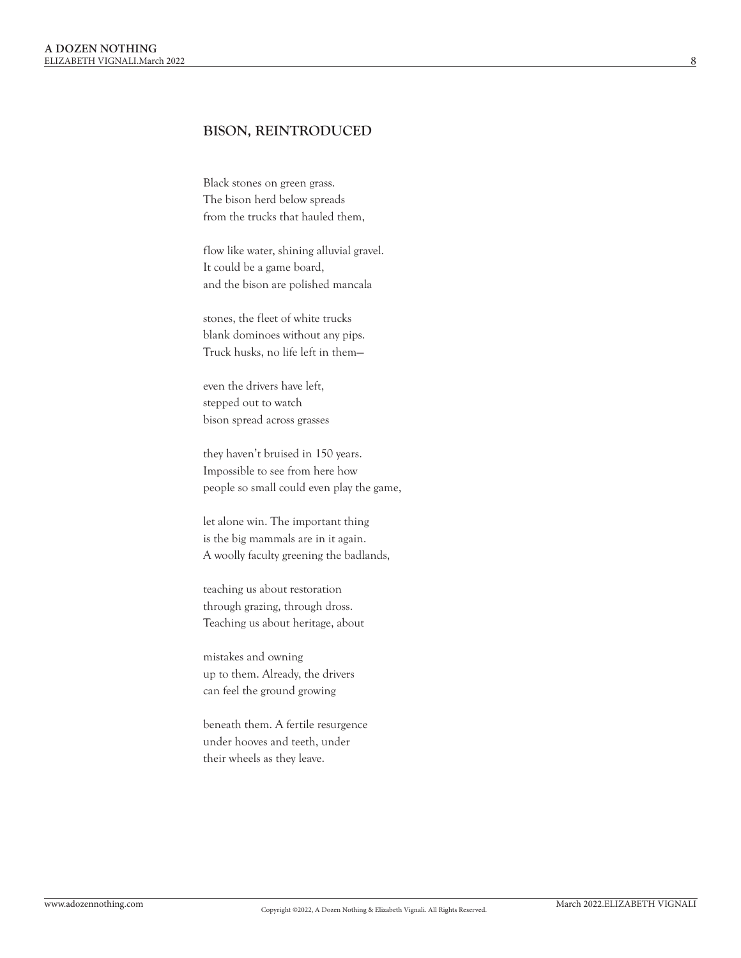#### **BISON, REINTRODUCED**

Black stones on green grass. The bison herd below spreads from the trucks that hauled them,

flow like water, shining alluvial gravel. It could be a game board, and the bison are polished mancala

stones, the fleet of white trucks blank dominoes without any pips. Truck husks, no life left in them—

even the drivers have left, stepped out to watch bison spread across grasses

they haven't bruised in 150 years. Impossible to see from here how people so small could even play the game,

let alone win. The important thing is the big mammals are in it again. A woolly faculty greening the badlands,

teaching us about restoration through grazing, through dross. Teaching us about heritage, about

mistakes and owning up to them. Already, the drivers can feel the ground growing

beneath them. A fertile resurgence under hooves and teeth, under their wheels as they leave.